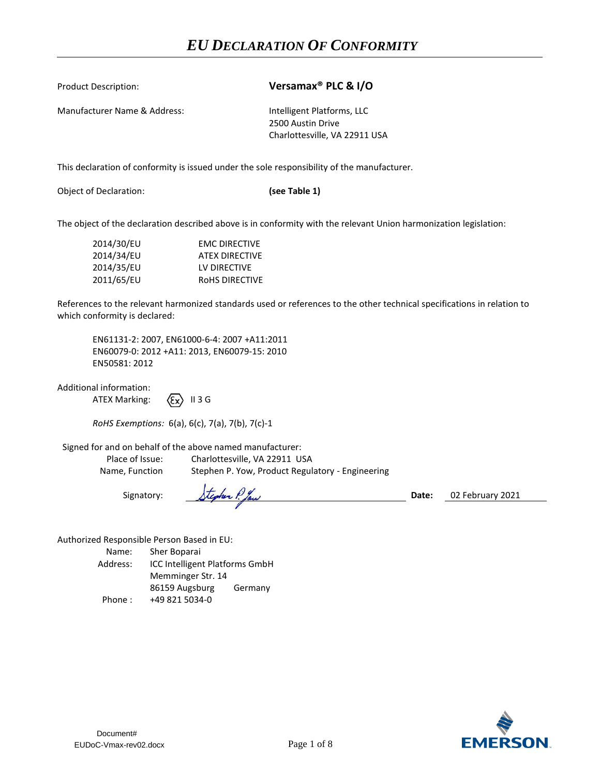#### Product Description: **Versamax® PLC & I/O**

Manufacturer Name & Address: Intelligent Platforms, LLC

2500 Austin Drive Charlottesville, VA 22911 USA

This declaration of conformity is issued under the sole responsibility of the manufacturer.

Object of Declaration: **(see Table 1)** 

The object of the declaration described above is in conformity with the relevant Union harmonization legislation:

| 2014/30/EU | <b>EMC DIRECTIVE</b>  |
|------------|-----------------------|
| 2014/34/EU | <b>ATEX DIRECTIVE</b> |
| 2014/35/EU | LV DIRECTIVE          |
| 2011/65/EU | ROHS DIRECTIVE        |

References to the relevant harmonized standards used or references to the other technical specifications in relation to which conformity is declared:

EN61131-2: 2007, EN61000-6-4: 2007 +A11:2011 EN60079-0: 2012 +A11: 2013, EN60079-15: 2010 EN50581: 2012

Additional information:

ATEX Marking:  $\langle \xi_{\mathbf{X}} \rangle$  II 3 G

*RoHS Exemptions:* 6(a), 6(c), 7(a), 7(b), 7(c)-1

Signed for and on behalf of the above named manufacturer:

Place of Issue: Charlottesville, VA 22911 USA Name, Function Stephen P. Yow, Product Regulatory - Engineering

Signatory: Stephen P faw **Date:** 02 February 2021

Authorized Responsible Person Based in EU:

Name: Sher Boparai Address: ICC Intelligent Platforms GmbH Memminger Str. 14 86159 Augsburg Germany Phone: +49 821 5034-0

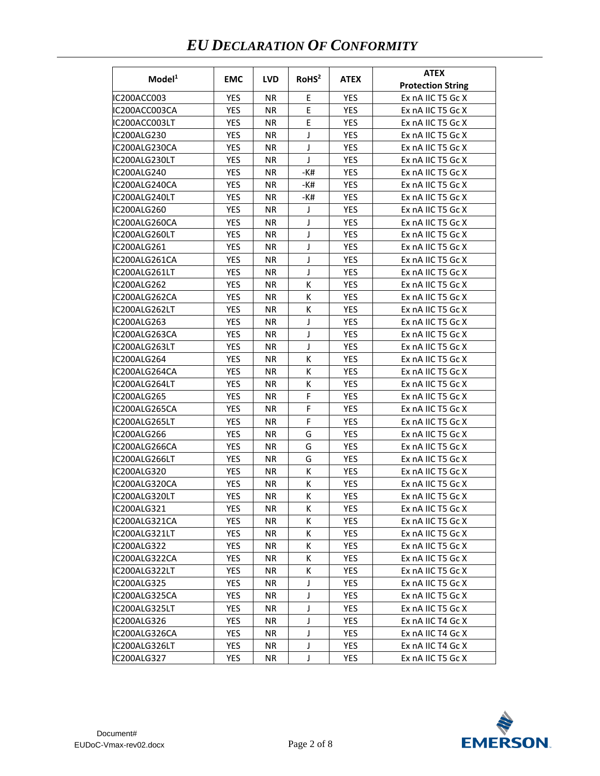| Model <sup>1</sup> |            |            | RoHS <sup>2</sup> |             | ATEX                     |
|--------------------|------------|------------|-------------------|-------------|--------------------------|
|                    | <b>EMC</b> | <b>LVD</b> |                   | <b>ATEX</b> | <b>Protection String</b> |
| IC200ACC003        | <b>YES</b> | NR.        | E                 | YES         | Ex nA IIC T5 Gc X        |
| IC200ACC003CA      | YES        | <b>NR</b>  | E                 | YES         | Ex nA IIC T5 Gc X        |
| IC200ACC003LT      | YES        | <b>NR</b>  | E                 | YES         | Ex nA IIC T5 Gc X        |
| IIC200ALG230       | <b>YES</b> | NR.        | J                 | YES         | Ex nA IIC T5 Gc X        |
| IC200ALG230CA      | <b>YES</b> | NR.        | J                 | <b>YES</b>  | Ex nA IIC T5 Gc X        |
| IC200ALG230LT      | <b>YES</b> | NR.        | J                 | <b>YES</b>  | Ex nA IIC T5 Gc X        |
| IC200ALG240        | YES        | <b>NR</b>  | -K#               | YES         | Ex nA IIC T5 Gc X        |
| IC200ALG240CA      | <b>YES</b> | NR.        | -K#               | YES         | Ex nA IIC T5 Gc X        |
| IC200ALG240LT      | YES        | <b>NR</b>  | -K#               | YES         | Ex nA IIC T5 Gc X        |
| IC200ALG260        | YES        | <b>NR</b>  | J                 | YES         | Ex nA IIC T5 Gc X        |
| IC200ALG260CA      | YES        | <b>NR</b>  | J                 | YES         | Ex nA IIC T5 Gc X        |
| IC200ALG260LT      | YES        | <b>NR</b>  | J                 | YES         | Ex nA IIC T5 Gc X        |
| IC200ALG261        | YES        | NR.        | J                 | <b>YES</b>  | Ex nA IIC T5 Gc X        |
| IC200ALG261CA      | YES        | <b>NR</b>  | J                 | YES         | Ex nA IIC T5 Gc X        |
| IC200ALG261LT      | YES        | <b>NR</b>  | J                 | YES         | Ex nA IIC T5 Gc X        |
| IC200ALG262        | YES        | <b>NR</b>  | К                 | YES         | Ex nA IIC T5 Gc X        |
| IC200ALG262CA      | YES        | NR.        | К                 | <b>YES</b>  | Ex nA IIC T5 Gc X        |
| IC200ALG262LT      | YES        | NR.        | К                 | YES         | Ex nA IIC T5 Gc X        |
| IC200ALG263        | YES        | NR.        | J                 | YES         | Ex nA IIC T5 Gc X        |
| IC200ALG263CA      | YES        | <b>NR</b>  | J                 | YES         | Ex nA IIC T5 Gc X        |
| IC200ALG263LT      | YES        | NR.        | J                 | YES         | Ex nA IIC T5 Gc X        |
| IC200ALG264        | <b>YES</b> | NR.        | К                 | <b>YES</b>  | Ex nA IIC T5 Gc X        |
| IC200ALG264CA      | <b>YES</b> | ΝR         | К                 | <b>YES</b>  | Ex nA IIC T5 Gc X        |
| IC200ALG264LT      | YES        | <b>NR</b>  | К                 | YES         | Ex nA IIC T5 Gc X        |
| IC200ALG265        | YES        | ΝR         | F                 | YES         | Ex nA IIC T5 Gc X        |
| IC200ALG265CA      | YES        | <b>NR</b>  | F                 | YES         | Ex nA IIC T5 Gc X        |
| IC200ALG265LT      | <b>YES</b> | <b>NR</b>  | F                 | YES         | Ex nA IIC T5 Gc X        |
| IC200ALG266        | YES        | <b>NR</b>  | G                 | YES         | Ex nA IIC T5 Gc X        |
| IIC200ALG266CA     | YES        | NR.        | G                 | YES         | Ex nA IIC T5 Gc X        |
| IC200ALG266LT      | YES        | NR.        | G                 | <b>YES</b>  | Ex nA IIC T5 Gc X        |
| IC200ALG320        | YES        | <b>NR</b>  | К                 | YES         | Ex nA IIC T5 Gc X        |
| IC200ALG320CA      | YES        | NR.        | К                 | YES         | Ex nA IIC T5 Gc X        |
| IC200ALG320LT      | YES        | NR.        | К                 | YES         | Ex nA IIC T5 Gc X        |
| IC200ALG321        | YES        | NR         | Κ                 | YES         | Ex nA IIC T5 Gc X        |
| IC200ALG321CA      | <b>YES</b> | NR.        | К                 | <b>YES</b>  | Ex nA IIC T5 Gc X        |
| IC200ALG321LT      | <b>YES</b> | NR         | Κ                 | <b>YES</b>  | Ex nA IIC T5 Gc X        |
| IC200ALG322        | <b>YES</b> | NR         | К                 | YES         | Ex nA IIC T5 Gc X        |
| IIC200ALG322CA     | <b>YES</b> | NR.        | К                 | <b>YES</b>  | Ex nA IIC T5 Gc X        |
| IC200ALG322LT      | YES        | NR         | К                 | <b>YES</b>  | Ex nA IIC T5 Gc X        |
| IC200ALG325        | <b>YES</b> | NR         | J                 | <b>YES</b>  | Ex nA IIC T5 Gc X        |
| IC200ALG325CA      | <b>YES</b> | NR.        | J                 | <b>YES</b>  | Ex nA IIC T5 Gc X        |
| IC200ALG325LT      | <b>YES</b> | NR.        | J                 | <b>YES</b>  | Ex nA IIC T5 Gc X        |
| IC200ALG326        | <b>YES</b> | NR.        | J                 | <b>YES</b>  | Ex nA IIC T4 Gc X        |
| IC200ALG326CA      | <b>YES</b> | NR         | J                 | <b>YES</b>  | Ex nA IIC T4 Gc X        |
| IC200ALG326LT      | YES        | <b>NR</b>  | J                 | YES         | Ex nA IIC T4 Gc X        |
| IC200ALG327        | YES        | NR         | J                 | YES         | Ex nA IIC T5 Gc X        |

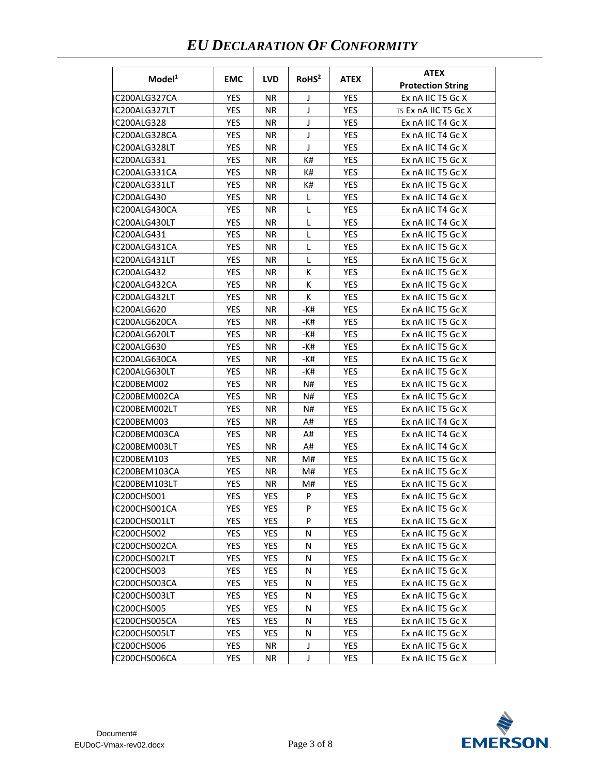|                    | <b>EMC</b> | <b>LVD</b>  | RoHS <sup>2</sup>        |            | ATEX                 |
|--------------------|------------|-------------|--------------------------|------------|----------------------|
| Model <sup>1</sup> |            | <b>ATEX</b> | <b>Protection String</b> |            |                      |
| IC200ALG327CA      | <b>YES</b> | NR.         | J                        | <b>YES</b> | Ex nA IIC T5 Gc X    |
| IC200ALG327LT      | <b>YES</b> | <b>NR</b>   | J                        | YES        | T5 Ex nA IIC T5 Gc X |
| IC200ALG328        | YES        | <b>NR</b>   | J                        | YES        | Ex nA IIC T4 Gc X    |
| IC200ALG328CA      | <b>YES</b> | <b>NR</b>   | J                        | <b>YES</b> | Ex nA IIC T4 Gc X    |
| IC200ALG328LT      | YES        | NR.         | J                        | <b>YES</b> | Ex nA IIC T4 Gc X    |
| IC200ALG331        | YES        | NR.         | K#                       | YES        | Ex nA IIC T5 Gc X    |
| IC200ALG331CA      | YES        | <b>NR</b>   | K#                       | YES        | Ex nA IIC T5 Gc X    |
| IC200ALG331LT      | <b>YES</b> | ΝR          | K#                       | <b>YES</b> | Ex nA IIC T5 Gc X    |
| IC200ALG430        | YES        | <b>NR</b>   | L                        | YES        | Ex nA IIC T4 Gc X    |
| IC200ALG430CA      | YES        | <b>NR</b>   | L                        | YES        | Ex nA IIC T4 Gc X    |
| IC200ALG430LT      | YES        | <b>NR</b>   | L                        | YES        | Ex nA IIC T4 Gc X    |
| IC200ALG431        | <b>YES</b> | <b>NR</b>   | L                        | <b>YES</b> | Ex nA IIC T5 Gc X    |
| IC200ALG431CA      | <b>YES</b> | NR.         | L                        | <b>YES</b> | Ex nA IIC T5 Gc X    |
| IC200ALG431LT      | <b>YES</b> | ΝR          | L                        | <b>YES</b> | Ex nA IIC T5 Gc X    |
| IC200ALG432        | <b>YES</b> | <b>NR</b>   | К                        | <b>YES</b> | Ex nA IIC T5 Gc X    |
| IC200ALG432CA      | <b>YES</b> | ΝR          | К                        | <b>YES</b> | Ex nA IIC T5 Gc X    |
| IC200ALG432LT      | <b>YES</b> | <b>NR</b>   | К                        | <b>YES</b> | Ex nA IIC T5 Gc X    |
| IC200ALG620        | <b>YES</b> | NR.         | -K#                      | <b>YES</b> | Ex nA IIC T5 Gc X    |
| IC200ALG620CA      | YES        | <b>NR</b>   | -K#                      | YES        | Ex nA IIC T5 Gc X    |
| IC200ALG620LT      | <b>YES</b> | NR.         | -K#                      | <b>YES</b> | Ex nA IIC T5 Gc X    |
| IC200ALG630        | <b>YES</b> | <b>NR</b>   | -K#                      | <b>YES</b> | Ex nA IIC T5 Gc X    |
| IC200ALG630CA      | <b>YES</b> | <b>NR</b>   | -K#                      | <b>YES</b> | Ex nA IIC T5 Gc X    |
| IC200ALG630LT      | <b>YES</b> | <b>NR</b>   | -K#                      | YES        | Ex nA IIC T5 Gc X    |
| IC200BEM002        | YES        | <b>NR</b>   | N#                       | YES        | Ex nA IIC T5 Gc X    |
| IC200BEM002CA      | <b>YES</b> | ΝR          | N#                       | <b>YES</b> | Ex nA IIC T5 Gc X    |
| IC200BEM002LT      | YES        | <b>NR</b>   | N#                       | YES        | Ex nA IIC T5 Gc X    |
| IC200BEM003        | YES        | <b>NR</b>   | A#                       | YES        | Ex nA IIC T4 Gc X    |
| IC200BEM003CA      | YES        | <b>NR</b>   | A#                       | YES        | Ex nA IIC T4 Gc X    |
| IC200BEM003LT      | <b>YES</b> | <b>NR</b>   | A#                       | <b>YES</b> | Ex nA IIC T4 Gc X    |
| IC200BEM103        | <b>YES</b> | <b>NR</b>   | M#                       | <b>YES</b> | Ex nA IIC T5 Gc X    |
| IC200BEM103CA      | <b>YES</b> | ΝR          | M#                       | <b>YES</b> | Ex nA IIC T5 Gc X    |
| IC200BEM103LT      | <b>YES</b> | NR.         | M#                       | YES        | Ex nA IIC T5 Gc X    |
| IC200CHS001        | <b>YES</b> | YES         | P                        | <b>YES</b> | Ex nA IIC T5 Gc X    |
| IC200CHS001CA      | <b>YES</b> | YES         | P                        | YES        | Ex nA IIC T5 Gc X    |
| IIC200CHS001LT     | <b>YES</b> | YES.        | P                        | <b>YES</b> | Ex nA IIC T5 Gc X    |
| IC200CHS002        | YES        | YES         | N                        | YES        | Ex nA IIC T5 Gc X    |
| IC200CHS002CA      | <b>YES</b> | YES         | N                        | YES        | Ex nA IIC T5 Gc X    |
| IC200CHS002LT      | <b>YES</b> | <b>YES</b>  | N                        | <b>YES</b> | Ex nA IIC T5 Gc X    |
| IC200CHS003        | <b>YES</b> | <b>YES</b>  | N                        | <b>YES</b> | Ex nA IIC T5 Gc X    |
| IC200CHS003CA      | YES        | <b>YES</b>  | N                        | <b>YES</b> | Ex nA IIC T5 Gc X    |
| IC200CHS003LT      | YES        | YES         | N                        | YES        | Ex nA IIC T5 Gc X    |
| IC200CHS005        | <b>YES</b> | <b>YES</b>  | N                        | <b>YES</b> | Ex nA IIC T5 Gc X    |
| IC200CHS005CA      | YES        | <b>YES</b>  | N                        | <b>YES</b> | Ex nA IIC T5 Gc X    |
| IC200CHS005LT      | YES        | YES         | N                        | YES        | Ex nA IIC T5 Gc X    |
| IC200CHS006        | YES        | <b>NR</b>   | J                        | YES        | Ex nA IIC T5 Gc X    |
| IC200CHS006CA      | YES        | NR          | J                        | YES        | Ex nA IIC T5 Gc X    |

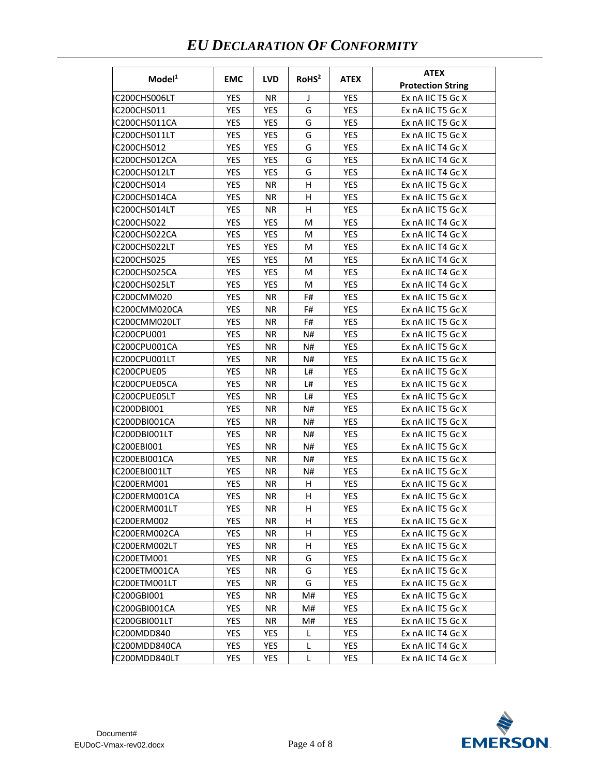|                    | <b>EMC</b> | <b>LVD</b>  | RoHS <sup>2</sup>        |            | ATEX              |
|--------------------|------------|-------------|--------------------------|------------|-------------------|
| Model <sup>1</sup> |            | <b>ATEX</b> | <b>Protection String</b> |            |                   |
| IC200CHS006LT      | <b>YES</b> | NR.         | J                        | <b>YES</b> | Ex nA IIC T5 Gc X |
| IC200CHS011        | YES        | YES         | G                        | YES        | Ex nA IIC T5 Gc X |
| IC200CHS011CA      | YES        | <b>YES</b>  | G                        | YES        | Ex nA IIC T5 Gc X |
| IC200CHS011LT      | YES        | <b>YES</b>  | G                        | YES        | Ex nA IIC T5 Gc X |
| IC200CHS012        | YES        | <b>YES</b>  | G                        | YES        | Ex nA IIC T4 Gc X |
| IIC200CHS012CA     | YES        | <b>YES</b>  | G                        | YES        | Ex nA IIC T4 Gc X |
| IC200CHS012LT      | YES        | <b>YES</b>  | G                        | YES        | Ex nA IIC T4 Gc X |
| IC200CHS014        | YES        | ΝR          | н                        | YES        | Ex nA IIC T5 Gc X |
| IC200CHS014CA      | YES        | <b>NR</b>   | н                        | YES        | Ex nA IIC T5 Gc X |
| IC200CHS014LT      | YES        | <b>NR</b>   | н                        | YES        | Ex nA IIC T5 Gc X |
| IC200CHS022        | YES        | <b>YES</b>  | M                        | YES        | Ex nA IIC T4 Gc X |
| IIC200CHS022CA     | YES        | YES.        | М                        | YES        | Ex nA IIC T4 Gc X |
| IIC200CHS022LT     | <b>YES</b> | <b>YES</b>  | м                        | YES        | Ex nA IIC T4 Gc X |
| IIC200CHS025       | <b>YES</b> | <b>YES</b>  | м                        | YES        | Ex nA IIC T4 Gc X |
| IC200CHS025CA      | YES        | <b>YES</b>  | м                        | YES        | Ex nA IIC T4 Gc X |
| IC200CHS025LT      | YES        | YES         | М                        | YES        | Ex nA IIC T4 Gc X |
| IC200CMM020        | YES        | <b>NR</b>   | F#                       | YES        | Ex nA IIC T5 Gc X |
| IC200CMM020CA      | <b>YES</b> | NR.         | F#                       | <b>YES</b> | Ex nA IIC T5 Gc X |
| IC200CMM020LT      | YES        | <b>NR</b>   | F#                       | YES        | Ex nA IIC T5 Gc X |
| IC200CPU001        | <b>YES</b> | NR.         | N#                       | YES        | Ex nA IIC T5 Gc X |
| IC200CPU001CA      | <b>YES</b> | NR.         | N#                       | YES        | Ex nA IIC T5 Gc X |
| IC200CPU001LT      | YES        | NR.         | N#                       | YES        | Ex nA IIC T5 Gc X |
| IC200CPUE05        | YES        | NR.         | L#                       | YES        | Ex nA IIC T5 Gc X |
| IC200CPUE05CA      | YES        | NR.         | L#                       | YES        | Ex nA IIC T5 Gc X |
| IC200CPUE05LT      | YES        | NR.         | L#                       | YES        | Ex nA IIC T5 Gc X |
| IC200DBI001        | YES        | <b>NR</b>   | N#                       | YES        | Ex nA IIC T5 Gc X |
| IC200DBI001CA      | YES        | <b>NR</b>   | N#                       | YES        | Ex nA IIC T5 Gc X |
| IC200DBI001LT      | YES        | <b>NR</b>   | N#                       | YES        | Ex nA IIC T5 Gc X |
| IC200EBI001        | YES        | <b>NR</b>   | N#                       | YES        | Ex nA IIC T5 Gc X |
| IC200EBI001CA      | YES        | <b>NR</b>   | N#                       | YES        | Ex nA IIC T5 Gc X |
| IIC200EBI001LT     | <b>YES</b> | NR.         | N#                       | YES        | Ex nA IIC T5 Gc X |
| IC200ERM001        | YES        | <b>NR</b>   | H                        | YES        | Ex nA IIC T5 Gc X |
| IC200ERM001CA      | YES        | NR.         | H                        | YES        | Ex nA IIC T5 Gc X |
| IC200ERM001LT      | YES        | <b>NR</b>   | H,                       | YES        | Ex nA IIC T5 Gc X |
| IC200ERM002        | YES.       | NR.         | н                        | YES        | Ex nA IIC T5 Gc X |
| IC200ERM002CA      | YES        | <b>NR</b>   | н                        | <b>YES</b> | Ex nA IIC T5 Gc X |
| IC200ERM002LT      | <b>YES</b> | NR.         | H                        | <b>YES</b> | Ex nA IIC T5 Gc X |
| IC200ETM001        | <b>YES</b> | <b>NR</b>   | G                        | <b>YES</b> | Ex nA IIC T5 Gc X |
| IC200ETM001CA      | <b>YES</b> | <b>NR</b>   | G                        | YES        | Ex nA IIC T5 Gc X |
| IC200ETM001LT      | YES        | <b>NR</b>   | G                        | <b>YES</b> | Ex nA IIC T5 Gc X |
| IC200GBI001        | YES        | NR.         | M#                       | YES        | Ex nA IIC T5 Gc X |
| IC200GBI001CA      | <b>YES</b> | NR.         | M#                       | YES        | Ex nA IIC T5 Gc X |
| IC200GBI001LT      | YES        | NR.         | M#                       | <b>YES</b> | Ex nA IIC T5 Gc X |
| IC200MDD840        | YES        | <b>YES</b>  | L                        | YES        | Ex nA IIC T4 Gc X |
| IC200MDD840CA      | YES        | YES         | L                        | YES        | Ex nA IIC T4 Gc X |
| IC200MDD840LT      | YES        | YES         | L                        | YES        | Ex nA IIC T4 Gc X |

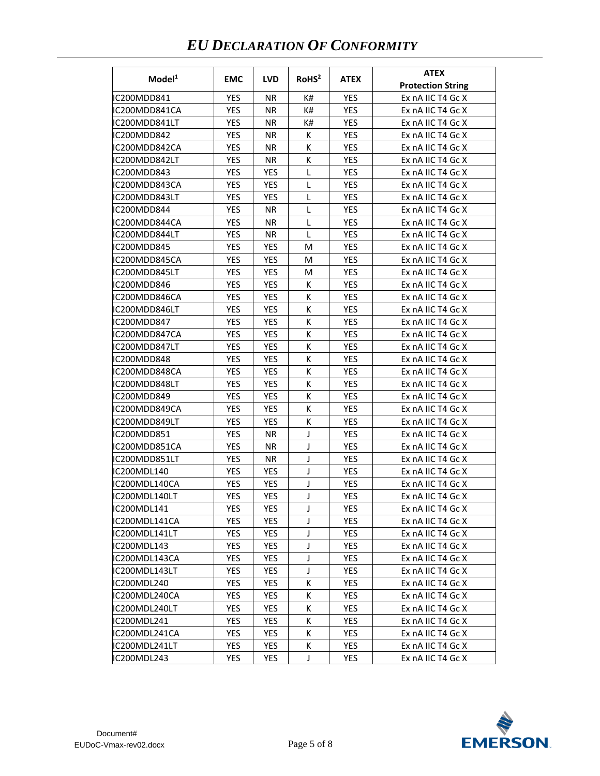| Model <sup>1</sup> | <b>EMC</b> | <b>LVD</b> | RoHS <sup>2</sup>        | <b>ATEX</b> | ATEX              |
|--------------------|------------|------------|--------------------------|-------------|-------------------|
|                    |            |            | <b>Protection String</b> |             |                   |
| IC200MDD841        | <b>YES</b> | NR.        | K#                       | <b>YES</b>  | Ex nA IIC T4 Gc X |
| IC200MDD841CA      | YES        | NR.        | K#                       | YES         | Ex nA IIC T4 Gc X |
| IC200MDD841LT      | <b>YES</b> | NR.        | K#                       | YES         | Ex nA IIC T4 Gc X |
| IC200MDD842        | <b>YES</b> | NR.        | К                        | YES         | Ex nA IIC T4 Gc X |
| IC200MDD842CA      | <b>YES</b> | NR.        | К                        | <b>YES</b>  | Ex nA IIC T4 Gc X |
| IC200MDD842LT      | <b>YES</b> | NR.        | к                        | <b>YES</b>  | Ex nA IIC T4 Gc X |
| IC200MDD843        | YES        | YES        | L                        | YES         | Ex nA IIC T4 Gc X |
| IC200MDD843CA      | <b>YES</b> | YES        | L                        | YES         | Ex nA IIC T4 Gc X |
| IC200MDD843LT      | <b>YES</b> | YES        | L                        | <b>YES</b>  | Ex nA IIC T4 Gc X |
| IC200MDD844        | <b>YES</b> | NR.        | L                        | <b>YES</b>  | Ex nA IIC T4 Gc X |
| IC200MDD844CA      | <b>YES</b> | <b>NR</b>  | L                        | <b>YES</b>  | Ex nA IIC T4 Gc X |
| IC200MDD844LT      | YES        | <b>NR</b>  | L                        | <b>YES</b>  | Ex nA IIC T4 Gc X |
| IC200MDD845        | <b>YES</b> | YES        | M                        | YES         | Ex nA IIC T4 Gc X |
| IC200MDD845CA      | YES        | <b>YES</b> | м                        | <b>YES</b>  | Ex nA IIC T4 Gc X |
| IC200MDD845LT      | YES        | YES        | м                        | YES         | Ex nA IIC T4 Gc X |
| IC200MDD846        | YES        | YES        | Κ                        | YES         | Ex nA IIC T4 Gc X |
| IC200MDD846CA      | YES        | <b>YES</b> | Κ                        | YES         | Ex nA IIC T4 Gc X |
| IC200MDD846LT      | YES        | YES        | Κ                        | <b>YES</b>  | Ex nA IIC T4 Gc X |
| IC200MDD847        | YES        | YES        | Κ                        | <b>YES</b>  | Ex nA IIC T4 Gc X |
| IC200MDD847CA      | YES        | YES        | K                        | <b>YES</b>  | Ex nA IIC T4 Gc X |
| IC200MDD847LT      | <b>YES</b> | <b>YES</b> | Κ                        | YES         | Ex nA IIC T4 Gc X |
| IC200MDD848        | <b>YES</b> | <b>YES</b> | К                        | <b>YES</b>  | Ex nA IIC T4 Gc X |
| IC200MDD848CA      | <b>YES</b> | <b>YES</b> | К                        | <b>YES</b>  | Ex nA IIC T4 Gc X |
| IC200MDD848LT      | YES        | <b>YES</b> | К                        | YES         | Ex nA IIC T4 Gc X |
| IC200MDD849        | YES        | YES        | К                        | YES         | Ex nA IIC T4 Gc X |
| IC200MDD849CA      | <b>YES</b> | <b>YES</b> | К                        | <b>YES</b>  | Ex nA IIC T4 Gc X |
| IC200MDD849LT      | <b>YES</b> | YES        | к                        | <b>YES</b>  | Ex nA IIC T4 Gc X |
| IC200MDD851        | <b>YES</b> | <b>NR</b>  | J                        | YES         | Ex nA IIC T4 Gc X |
| IC200MDD851CA      | <b>YES</b> | NR.        | J                        | <b>YES</b>  | Ex nA IIC T4 Gc X |
| IC200MDD851LT      | <b>YES</b> | NR.        | J                        | YES         | Ex nA IIC T4 Gc X |
| IC200MDL140        | YES        | <b>YES</b> | J                        | <b>YES</b>  | Ex nA IIC T4 Gc X |
| IC200MDL140CA      | YES        | YES        | J                        | YES         | Ex nA IIC T4 Gc X |
| IC200MDL140LT      | YES        | YES        | J                        | YES         | Ex nA IIC T4 Gc X |
| IC200MDL141        | YES        | YES        | J                        | YES         | Ex nA IIC T4 Gc X |
| IC200MDL141CA      | <b>YES</b> | <b>YES</b> | J                        | <b>YES</b>  | Ex nA IIC T4 Gc X |
| IC200MDL141LT      | <b>YES</b> | YES        | J                        | <b>YES</b>  | Ex nA IIC T4 Gc X |
| IC200MDL143        | YES        | <b>YES</b> | J                        | <b>YES</b>  | Ex nA IIC T4 Gc X |
| IC200MDL143CA      | <b>YES</b> | <b>YES</b> | J                        | <b>YES</b>  | Ex nA IIC T4 Gc X |
| IC200MDL143LT      | <b>YES</b> | <b>YES</b> | J                        | <b>YES</b>  | Ex nA IIC T4 Gc X |
| IC200MDL240        | <b>YES</b> | <b>YES</b> | К                        | <b>YES</b>  | Ex nA IIC T4 Gc X |
| IC200MDL240CA      | YES        | YES        | Κ                        | YES         | Ex nA IIC T4 Gc X |
| IC200MDL240LT      | YES        | YES.       | Κ                        | <b>YES</b>  | Ex nA IIC T4 Gc X |
| IC200MDL241        | <b>YES</b> | <b>YES</b> | К                        | <b>YES</b>  | Ex nA IIC T4 Gc X |
| IC200MDL241CA      | <b>YES</b> | YES.       | Κ                        | <b>YES</b>  | Ex nA IIC T4 Gc X |
| IC200MDL241LT      | YES        | YES        | Κ                        | YES         | Ex nA IIC T4 Gc X |
| IC200MDL243        | YES        | YES        | J                        | YES         | Ex nA IIC T4 Gc X |

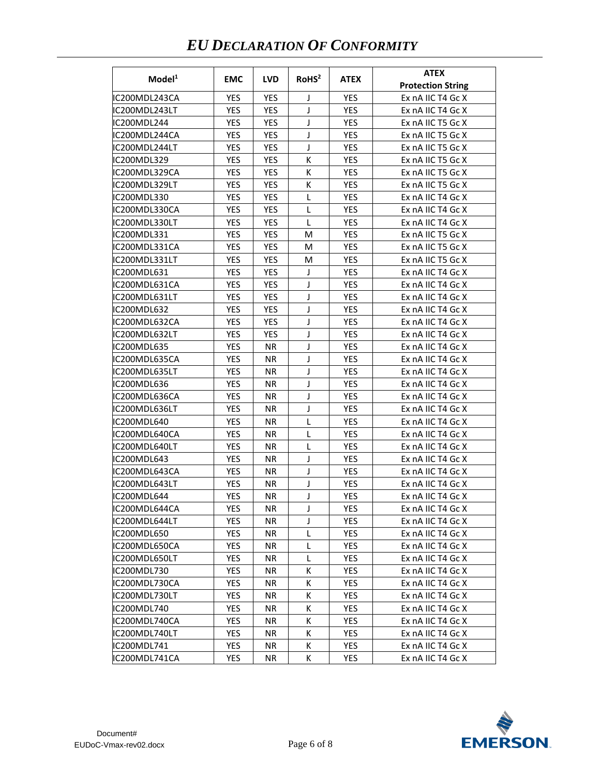|                    |            |            |                   |             | ATEX                     |
|--------------------|------------|------------|-------------------|-------------|--------------------------|
| Model <sup>1</sup> | <b>EMC</b> | <b>LVD</b> | RoHS <sup>2</sup> | <b>ATEX</b> | <b>Protection String</b> |
| IC200MDL243CA      | <b>YES</b> | <b>YES</b> | J                 | YES         | Ex nA IIC T4 Gc X        |
| IC200MDL243LT      | YES        | <b>YES</b> | J                 | YES         | Ex nA IIC T4 Gc X        |
| IC200MDL244        | <b>YES</b> | <b>YES</b> | J                 | <b>YES</b>  | Ex nA IIC T5 Gc X        |
| IC200MDL244CA      | <b>YES</b> | <b>YES</b> | J                 | <b>YES</b>  | Ex nA IIC T5 Gc X        |
| IC200MDL244LT      | <b>YES</b> | <b>YES</b> | J                 | <b>YES</b>  | Ex nA IIC T5 Gc X        |
| IC200MDL329        | <b>YES</b> | <b>YES</b> | к                 | YES         | Ex nA IIC T5 Gc X        |
| IC200MDL329CA      | <b>YES</b> | YES        | К                 | <b>YES</b>  | Ex nA IIC T5 Gc X        |
| IC200MDL329LT      | YES        | <b>YES</b> | К                 | YES         | Ex nA IIC T5 Gc X        |
| IC200MDL330        | <b>YES</b> | <b>YES</b> | L                 | <b>YES</b>  | Ex nA IIC T4 Gc X        |
| IC200MDL330CA      | <b>YES</b> | YES        | L                 | YES         | Ex nA IIC T4 Gc X        |
| IC200MDL330LT      | <b>YES</b> | YES        | L                 | YES         | Ex nA IIC T4 Gc X        |
| IC200MDL331        | <b>YES</b> | <b>YES</b> | M                 | <b>YES</b>  | Ex nA IIC T5 Gc X        |
| IC200MDL331CA      | <b>YES</b> | <b>YES</b> | м                 | YES         | Ex nA IIC T5 Gc X        |
| IC200MDL331LT      | YES        | YES        | M                 | YES         | Ex nA IIC T5 Gc X        |
| IC200MDL631        | YES        | YES        | J                 | YES         | Ex nA IIC T4 Gc X        |
| IC200MDL631CA      | YES        | YES        | J                 | <b>YES</b>  | Ex nA IIC T4 Gc X        |
| IC200MDL631LT      | YES        | <b>YES</b> | J                 | YES         | Ex nA IIC T4 Gc X        |
| IC200MDL632        | YES        | YES        | J                 | YES         | Ex nA IIC T4 Gc X        |
| IC200MDL632CA      | YES        | <b>YES</b> | J                 | YES         | Ex nA IIC T4 Gc X        |
| IC200MDL632LT      | <b>YES</b> | <b>YES</b> | J                 | <b>YES</b>  | Ex nA IIC T4 Gc X        |
| IC200MDL635        | YES        | NR.        | J                 | YES         | Ex nA IIC T4 Gc X        |
| IC200MDL635CA      | <b>YES</b> | ΝR         | J                 | <b>YES</b>  | Ex nA IIC T4 Gc X        |
| IC200MDL635LT      | <b>YES</b> | <b>NR</b>  | J                 | YES         | Ex nA IIC T4 Gc X        |
| IC200MDL636        | <b>YES</b> | ΝR         | J                 | <b>YES</b>  | Ex nA IIC T4 Gc X        |
| IC200MDL636CA      | YES        | <b>NR</b>  | J                 | <b>YES</b>  | Ex nA IIC T4 Gc X        |
| IC200MDL636LT      | <b>YES</b> | ΝR         | J                 | <b>YES</b>  | Ex nA IIC T4 Gc X        |
| IC200MDL640        | <b>YES</b> | <b>NR</b>  | L                 | YES         | Ex nA IIC T4 Gc X        |
| IC200MDL640CA      | <b>YES</b> | <b>NR</b>  | L                 | YES         | Ex nA IIC T4 Gc X        |
| IC200MDL640LT      | <b>YES</b> | <b>NR</b>  | L                 | <b>YES</b>  | Ex nA IIC T4 Gc X        |
| IC200MDL643        | YES        | <b>NR</b>  | J                 | <b>YES</b>  | Ex nA IIC T4 Gc X        |
| IC200MDL643CA      | YES        | <b>NR</b>  | J                 | YES         | Ex nA IIC T4 Gc X        |
| IC200MDL643LT      | YES        | <b>NR</b>  | J                 | YES         | Ex nA IIC T4 Gc X        |
| IC200MDL644        | YES        | <b>NR</b>  | J                 | YES         | Ex nA IIC T4 Gc X        |
| IC200MDL644CA      | <b>YES</b> | <b>NR</b>  | J                 | <b>YES</b>  | Ex nA IIC T4 Gc X        |
| IC200MDL644LT      | <b>YES</b> | NR.        | J                 | <b>YES</b>  | Ex nA IIC T4 Gc X        |
| IC200MDL650        | YES        | NR.        | L                 | <b>YES</b>  | Ex nA IIC T4 Gc X        |
| IC200MDL650CA      | <b>YES</b> | NR.        | L                 | <b>YES</b>  | Ex nA IIC T4 Gc X        |
| IC200MDL650LT      | YES        | NR.        | L                 | <b>YES</b>  | Ex nA IIC T4 Gc X        |
| IC200MDL730        | YES        | NR.        | К                 | <b>YES</b>  | Ex nA IIC T4 Gc X        |
| IC200MDL730CA      | YES        | NR.        | К                 | <b>YES</b>  | Ex nA IIC T4 Gc X        |
| IIC200MDL730LT     | <b>YES</b> | NR.        | к                 | <b>YES</b>  | Ex nA IIC T4 Gc X        |
| IC200MDL740        | <b>YES</b> | NR.        | К                 | <b>YES</b>  | Ex nA IIC T4 Gc X        |
| IIC200MDL740CA     | <b>YES</b> | NR.        | к                 | YES.        | Ex nA IIC T4 Gc X        |
| IC200MDL740LT      | YES        | <b>NR</b>  | К                 | YES         | Ex nA IIC T4 Gc X        |
| IC200MDL741        | <b>YES</b> | NR.        | К                 | <b>YES</b>  | Ex nA IIC T4 Gc X        |
| IC200MDL741CA      | YES        | NR.        | К                 | <b>YES</b>  | Ex nA IIC T4 Gc X        |

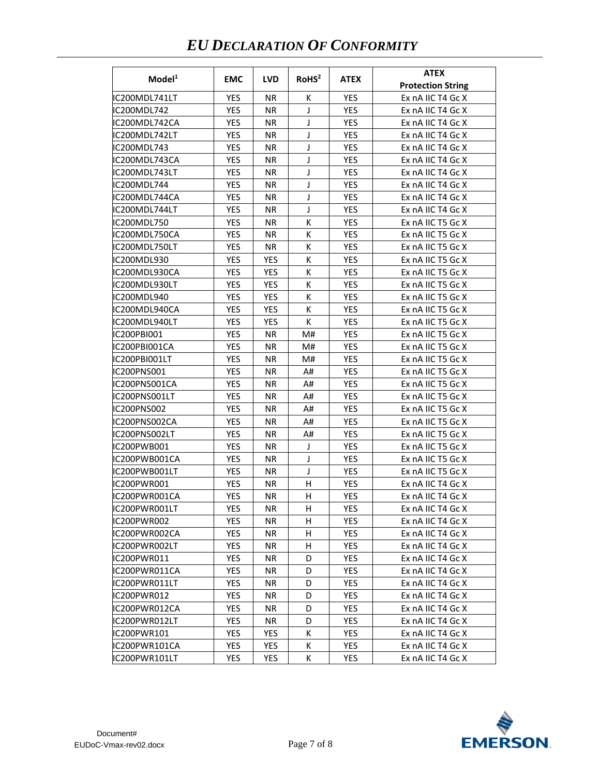|                    | <b>EMC</b> | <b>LVD</b>  | RoHS <sup>2</sup>        |            | ATEX              |
|--------------------|------------|-------------|--------------------------|------------|-------------------|
| Model <sup>1</sup> |            | <b>ATEX</b> | <b>Protection String</b> |            |                   |
| IC200MDL741LT      | <b>YES</b> | NR.         | К                        | <b>YES</b> | Ex nA IIC T4 Gc X |
| IC200MDL742        | YES        | <b>NR</b>   | J                        | YES        | Ex nA IIC T4 Gc X |
| IC200MDL742CA      | YES        | <b>NR</b>   | J                        | YES        | Ex nA IIC T4 Gc X |
| lIC200MDL742LT     | YES        | <b>NR</b>   | J                        | YES        | Ex nA IIC T4 Gc X |
| IC200MDL743        | YES        | NR.         | J                        | YES        | Ex nA IIC T4 Gc X |
| IC200MDL743CA      | YES        | NR.         | J                        | YES        | Ex nA IIC T4 Gc X |
| IC200MDL743LT      | YES        | NR.         | J                        | YES        | Ex nA IIC T4 Gc X |
| IC200MDL744        | YES        | NR.         | J                        | YES        | Ex nA IIC T4 Gc X |
| IC200MDL744CA      | YES        | <b>NR</b>   | J                        | YES        | Ex nA IIC T4 Gc X |
| IC200MDL744LT      | YES        | <b>NR</b>   | J                        | YES        | Ex nA IIC T4 Gc X |
| IC200MDL750        | YES        | <b>NR</b>   | К                        | YES        | Ex nA IIC T5 Gc X |
| IIC200MDL750CA     | YES        | <b>NR</b>   | К                        | YES        | Ex nA IIC T5 Gc X |
| IIC200MDL750LT     | <b>YES</b> | NR.         | К                        | YES        | Ex nA IIC T5 Gc X |
| lIC200MDL930       | <b>YES</b> | <b>YES</b>  | К                        | YES        | Ex nA IIC T5 Gc X |
| IC200MDL930CA      | YES        | <b>YES</b>  | К                        | YES        | Ex nA IIC T5 Gc X |
| IC200MDL930LT      | YES        | YES.        | ĸ                        | YES        | Ex nA IIC T5 Gc X |
| IC200MDL940        | <b>YES</b> | <b>YES</b>  | К                        | YES        | Ex nA IIC T5 Gc X |
| IC200MDL940CA      | <b>YES</b> | <b>YES</b>  | К                        | <b>YES</b> | Ex nA IIC T5 Gc X |
| IC200MDL940LT      | YES        | <b>YES</b>  | К                        | YES        | Ex nA IIC T5 Gc X |
| IC200PBI001        | <b>YES</b> | NR.         | M#                       | YES        | Ex nA IIC T5 Gc X |
| IIC200PBI001CA     | <b>YES</b> | NR.         | M#                       | YES        | Ex nA IIC T5 Gc X |
| IC200PBI001LT      | <b>YES</b> | <b>NR</b>   | M#                       | YES        | Ex nA IIC T5 Gc X |
| IC200PNS001        | YES        | NR.         | A#                       | YES        | Ex nA IIC T5 Gc X |
| IC200PNS001CA      | YES        | NR.         | A#                       | YES        | Ex nA IIC T5 Gc X |
| IC200PNS001LT      | YES        | NR.         | A#                       | YES        | Ex nA IIC T5 Gc X |
| IC200PNS002        | YES        | <b>NR</b>   | A#                       | YES        | Ex nA IIC T5 Gc X |
| IC200PNS002CA      | YES        | <b>NR</b>   | A#                       | YES        | Ex nA IIC T5 Gc X |
| IC200PNS002LT      | YES        | <b>NR</b>   | A#                       | YES        | Ex nA IIC T5 Gc X |
| IC200PWB001        | YES        | <b>NR</b>   | J                        | YES        | Ex nA IIC T5 Gc X |
| IC200PWB001CA      | <b>YES</b> | <b>NR</b>   | J                        | YES        | Ex nA IIC T5 Gc X |
| IC200PWB001LT      | <b>YES</b> | NR.         | J                        | YES        | Ex nA IIC T5 Gc X |
| IC200PWR001        | YES        | <b>NR</b>   | н                        | YES        | Ex nA IIC T4 Gc X |
| IC200PWR001CA      | YES        | NR.         | H                        | YES        | Ex nA IIC T4 Gc X |
| IC200PWR001LT      | YES        | <b>NR</b>   | H,                       | YES        | Ex nA IIC T4 Gc X |
| IC200PWR002        | YES.       | NR.         | н                        | YES        | Ex nA IIC T4 Gc X |
| IC200PWR002CA      | YES        | <b>NR</b>   | н                        | YES        | Ex nA IIC T4 Gc X |
| IC200PWR002LT      | <b>YES</b> | NR.         | H                        | <b>YES</b> | Ex nA IIC T4 Gc X |
| IC200PWR011        | <b>YES</b> | <b>NR</b>   | D                        | <b>YES</b> | Ex nA IIC T4 Gc X |
| IC200PWR011CA      | <b>YES</b> | <b>NR</b>   | D                        | YES        | Ex nA IIC T4 Gc X |
| IC200PWR011LT      | YES        | <b>NR</b>   | D                        | <b>YES</b> | Ex nA IIC T4 Gc X |
| IC200PWR012        | YES        | NR.         | D                        | <b>YES</b> | Ex nA IIC T4 Gc X |
| IC200PWR012CA      | <b>YES</b> | NR.         | D                        | YES        | Ex nA IIC T4 Gc X |
| IC200PWR012LT      | YES        | NR.         | D                        | <b>YES</b> | Ex nA IIC T4 Gc X |
| IC200PWR101        | YES        | <b>YES</b>  | Κ                        | YES        | Ex nA IIC T4 Gc X |
| IC200PWR101CA      | YES        | YES         | Κ                        | YES        | Ex nA IIC T4 Gc X |
| IC200PWR101LT      | YES        | YES         | K                        | YES        | Ex nA IIC T4 Gc X |